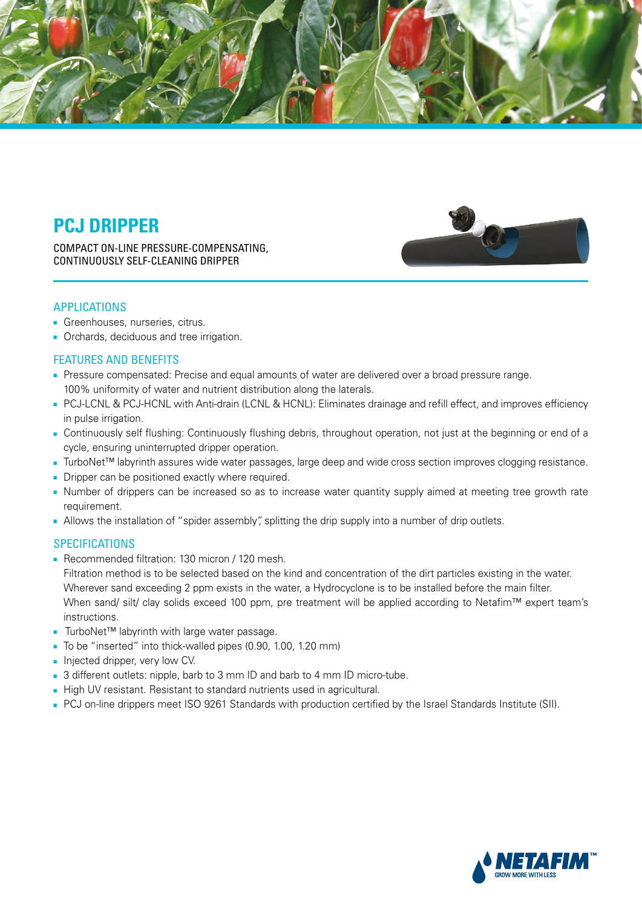

# **PCJ DRIPPER**

COMPACT ON-LINE PRESSURE-COMPENSATING, CONTINUOUSLY SELF-CLEANING DRIPPER



### APPLICATIONS

- **.** Greenhouses, nurseries, citrus.
- **.** Orchards, deciduous and tree irrigation.

### **FEATURES AND BENEFITS**

- Pressure compensated: Precise and equal amounts of water are delivered over a broad pressure range. 100% uniformity of water and nutrient distribution along the laterals.
- PCJ-LCNL & PCJ-HCNL with Anti-drain (LCNL & HCNL): Eliminates drainage and refill effect, and improves efficiency in pulse irrigation.
- Continuously self flushing: Continuously flushing debris, throughout operation, not iust at the beginning or end of a cycle, ensuring uninterrupted dripper operation.
- TurboNet<sup>™</sup> labyrinth assures wide water passages, large deep and wide cross section improves clogging resistance.
- Dripper can be positioned exactly where required.
- Number of drippers can be increased so as to increase water quantity supply aimed at meeting tree growth rate .requirement
- . Allows the installation of "spider assembly" splitting the drip supply into a number of drip outlets.

#### **SPECIFICATIONS**

■ Recommended filtration: 130 micron / 120 mesh.

Filtration method is to be selected based on the kind and concentration of the dirt particles existing in the water. Wherever sand exceeding 2 ppm exists in the water, a Hydrocyclone is to be installed before the main filter. When sand/ silt/ clay solids exceed 100 ppm, pre treatment will be applied according to Netafim™ expert team's .instructions

- TurboNet™ labyrinth with large water passage.
- To be "inserted" into thick-walled pipes (0.90, 1.00, 1.20 mm)
- Injected dripper, very low CV.
- 3 different outlets: nipple, barb to 3 mm ID and barb to 4 mm ID micro-tube.
- High UV resistant. Resistant to standard nutrients used in agricultural.
- PCJ on-line drippers meet ISO 9261 Standards with production certified by the Israel Standards Institute (SII).